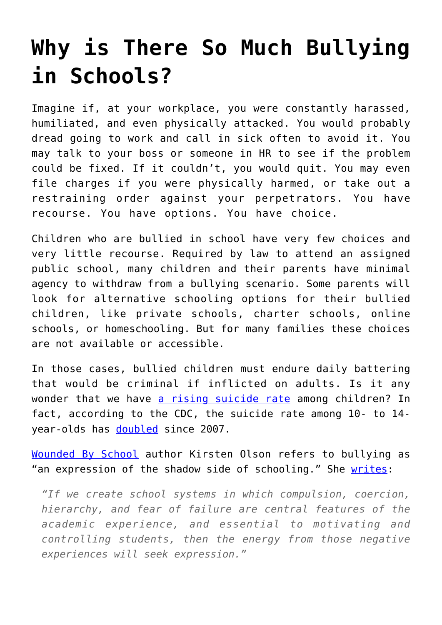## **[Why is There So Much Bullying](https://intellectualtakeout.org/2017/07/why-is-there-so-much-bullying-in-schools/) [in Schools?](https://intellectualtakeout.org/2017/07/why-is-there-so-much-bullying-in-schools/)**

Imagine if, at your workplace, you were constantly harassed, humiliated, and even physically attacked. You would probably dread going to work and call in sick often to avoid it. You may talk to your boss or someone in HR to see if the problem could be fixed. If it couldn't, you would quit. You may even file charges if you were physically harmed, or take out a restraining order against your perpetrators. You have recourse. You have options. You have choice.

Children who are bullied in school have very few choices and very little recourse. Required by law to attend an assigned public school, many children and their parents have minimal agency to withdraw from a bullying scenario. Some parents will look for alternative schooling options for their bullied children, like private schools, charter schools, online schools, or homeschooling. But for many families these choices are not available or accessible.

In those cases, bullied children must endure daily battering that would be criminal if inflicted on adults. Is it any wonder that we have [a rising suicide rate](http://www.cnn.com/2016/11/03/health/kids-suicide-deaths-increase/) among children? In fact, according to the CDC, the suicide rate among 10- to 14 year-olds has [doubled](https://www.cdc.gov/mmwr/volumes/65/wr/mm6543a8.htm?s_cid=mm6543a8_w) since 2007.

[Wounded By School](http://amzn.to/2vMofXr) author Kirsten Olson refers to bullying as "an expression of the shadow side of schooling." She [writes](http://www.edweek.org/ew/articles/2008/04/23/34olson_web.h27.html):

*"If we create school systems in which compulsion, coercion, hierarchy, and fear of failure are central features of the academic experience, and essential to motivating and controlling students, then the energy from those negative experiences will seek expression."*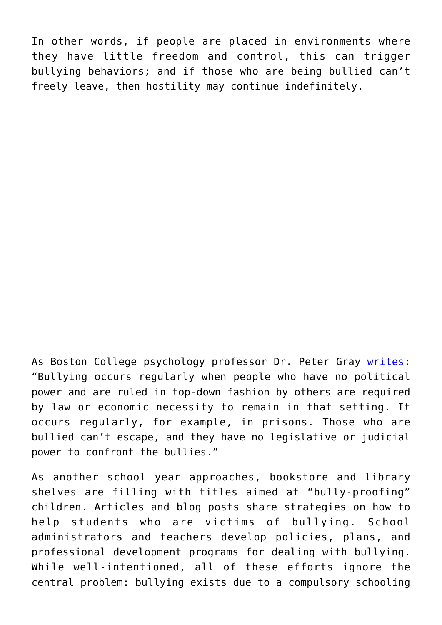In other words, if people are placed in environments where they have little freedom and control, this can trigger bullying behaviors; and if those who are being bullied can't freely leave, then hostility may continue indefinitely.

As Boston College psychology professor Dr. Peter Gray [writes:](https://www.psychologytoday.com/blog/freedom-learn/201005/school-bullying-tragic-cost-undemocratic-schools) "Bullying occurs regularly when people who have no political power and are ruled in top-down fashion by others are required by law or economic necessity to remain in that setting. It occurs regularly, for example, in prisons. Those who are bullied can't escape, and they have no legislative or judicial power to confront the bullies."

As another school year approaches, bookstore and library shelves are filling with titles aimed at "bully-proofing" children. Articles and blog posts share strategies on how to help students who are victims of bullying. School administrators and teachers develop policies, plans, and professional development programs for dealing with bullying. While well-intentioned, all of these efforts ignore the central problem: bullying exists due to a compulsory schooling